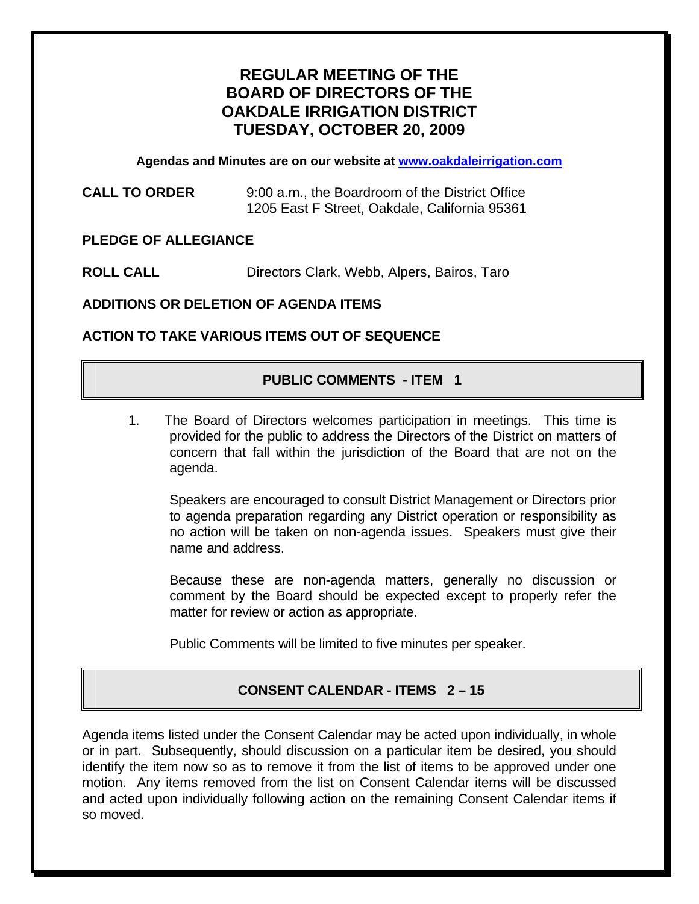# **REGULAR MEETING OF THE BOARD OF DIRECTORS OF THE OAKDALE IRRIGATION DISTRICT TUESDAY, OCTOBER 20, 2009**

**Agendas and Minutes are on our website at [www.oakdaleirrigation.com](http://www.oakdaleirrigation.com/)**

| <b>CALL TO ORDER</b> | 9:00 a.m., the Boardroom of the District Office |
|----------------------|-------------------------------------------------|
|                      | 1205 East F Street, Oakdale, California 95361   |

#### **PLEDGE OF ALLEGIANCE**

**ROLL CALL** Directors Clark, Webb, Alpers, Bairos, Taro

**ADDITIONS OR DELETION OF AGENDA ITEMS** 

#### **ACTION TO TAKE VARIOUS ITEMS OUT OF SEQUENCE**

### **PUBLIC COMMENTS - ITEM 1**

1. The Board of Directors welcomes participation in meetings. This time is provided for the public to address the Directors of the District on matters of concern that fall within the jurisdiction of the Board that are not on the agenda.

Speakers are encouraged to consult District Management or Directors prior to agenda preparation regarding any District operation or responsibility as no action will be taken on non-agenda issues. Speakers must give their name and address.

Because these are non-agenda matters, generally no discussion or comment by the Board should be expected except to properly refer the matter for review or action as appropriate.

Public Comments will be limited to five minutes per speaker.

# **CONSENT CALENDAR - ITEMS 2 – 15**

Agenda items listed under the Consent Calendar may be acted upon individually, in whole or in part. Subsequently, should discussion on a particular item be desired, you should identify the item now so as to remove it from the list of items to be approved under one motion. Any items removed from the list on Consent Calendar items will be discussed and acted upon individually following action on the remaining Consent Calendar items if so moved.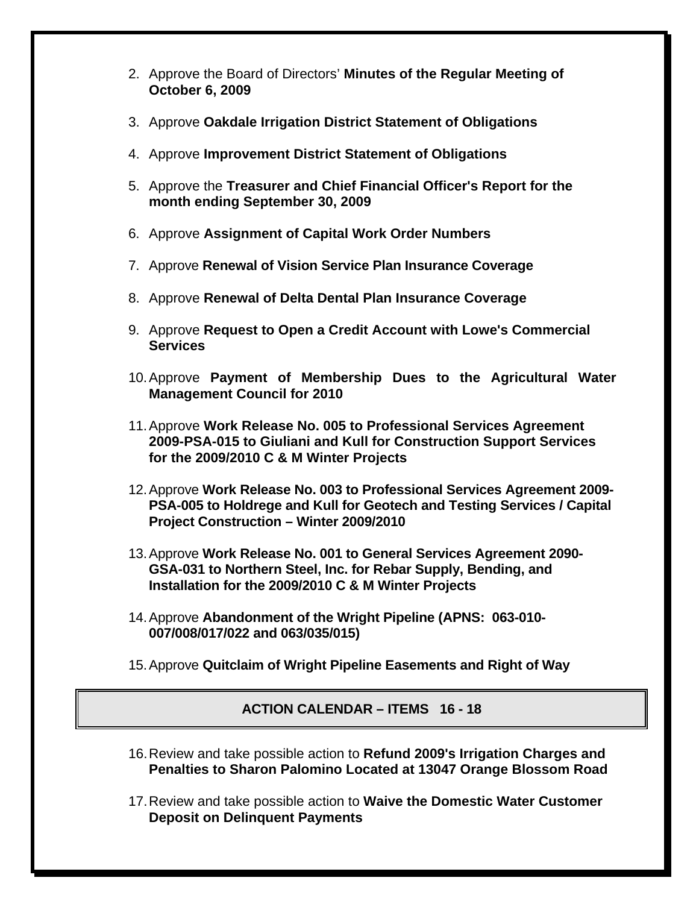- 2. Approve the Board of Directors' **Minutes of the Regular Meeting of October 6, 2009**
- 3. Approve **Oakdale Irrigation District Statement of Obligations**
- 4. Approve **Improvement District Statement of Obligations**
- 5. Approve the **Treasurer and Chief Financial Officer's Report for the month ending September 30, 2009**
- 6. Approve **Assignment of Capital Work Order Numbers**
- 7. Approve **Renewal of Vision Service Plan Insurance Coverage**
- 8. Approve **Renewal of Delta Dental Plan Insurance Coverage**
- 9. Approve **Request to Open a Credit Account with Lowe's Commercial Services**
- 10. Approve **Payment of Membership Dues to the Agricultural Water Management Council for 2010**
- 11. Approve **Work Release No. 005 to Professional Services Agreement 2009-PSA-015 to Giuliani and Kull for Construction Support Services for the 2009/2010 C & M Winter Projects**
- 12. Approve **Work Release No. 003 to Professional Services Agreement 2009- PSA-005 to Holdrege and Kull for Geotech and Testing Services / Capital Project Construction – Winter 2009/2010**
- 13. Approve **Work Release No. 001 to General Services Agreement 2090- GSA-031 to Northern Steel, Inc. for Rebar Supply, Bending, and Installation for the 2009/2010 C & M Winter Projects**
- 14. Approve **Abandonment of the Wright Pipeline (APNS: 063-010- 007/008/017/022 and 063/035/015)**
- 15. Approve **Quitclaim of Wright Pipeline Easements and Right of Way**

# **ACTION CALENDAR – ITEMS 16 - 18**

- 16. Review and take possible action to **Refund 2009's Irrigation Charges and Penalties to Sharon Palomino Located at 13047 Orange Blossom Road**
- 17. Review and take possible action to **Waive the Domestic Water Customer Deposit on Delinquent Payments**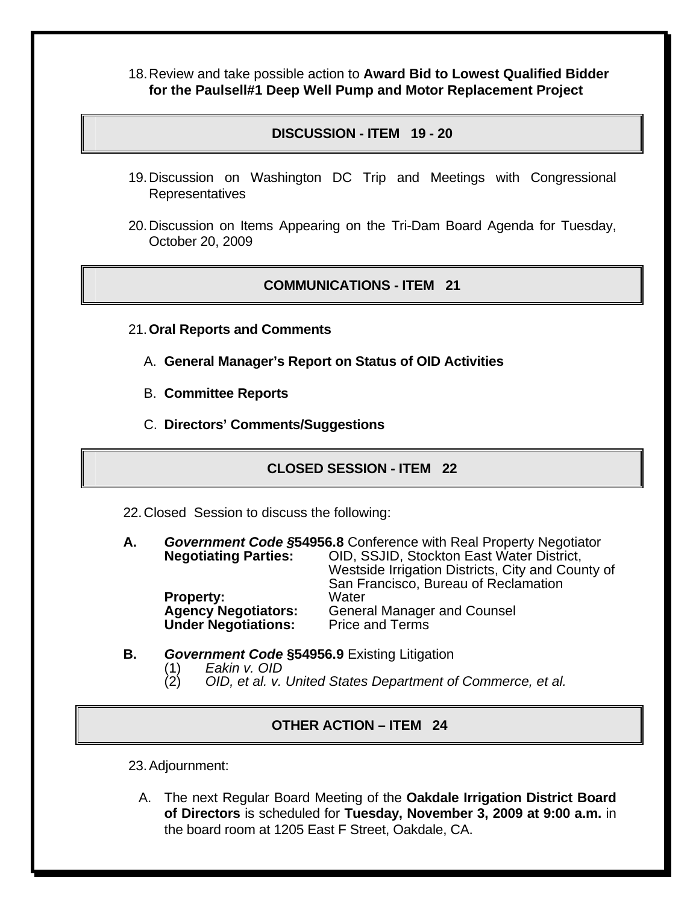18. Review and take possible action to **Award Bid to Lowest Qualified Bidder for the Paulsell#1 Deep Well Pump and Motor Replacement Project**

# **DISCUSSION - ITEM 19 - 20**

- 19. Discussion on Washington DC Trip and Meetings with Congressional Representatives
- 20. Discussion on Items Appearing on the Tri-Dam Board Agenda for Tuesday, October 20, 2009

#### **COMMUNICATIONS - ITEM 21**

- 21.**Oral Reports and Comments**
	- A. **General Manager's Report on Status of OID Activities**
	- B. **Committee Reports**
	- C. **Directors' Comments/Suggestions**

# **CLOSED SESSION - ITEM 22**

- 22. Closed Session to discuss the following:
- **A.** *Government Code §***54956.8** Conference with Real Property Negotiator **Negotiating Parties:** OID, SSJID, Stockton East Water District, Westside Irrigation Districts, City and County of San Francisco, Bureau of Reclamation **Property:<br>Agency Negotiators:** General Manager and Counsel<br>Price and Terms **Under Negotiations:**

#### **B.** *Government Code* **§54956.9** Existing Litigation

- (1) *Eakin v. OID*
- (2) *OID, et al. v. United States Department of Commerce, et al.*

### **OTHER ACTION – ITEM 24**

23. Adjournment:

A. The next Regular Board Meeting of the **Oakdale Irrigation District Board of Directors** is scheduled for **Tuesday, November 3, 2009 at 9:00 a.m.** in the board room at 1205 East F Street, Oakdale, CA.